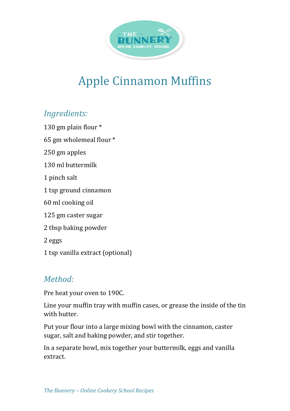

## **Apple Cinnamon Muffins**

## *Ingredients:*

130 gm plain flour  $*$ 

65 gm wholemeal flour \*

250 gm apples

130 ml buttermilk

1 pinch salt

1 tsp ground cinnamon

60 ml cooking oil

125 gm caster sugar

2 tbsp baking powder

2 eggs

1 tsp vanilla extract (optional)

## *Method:*

Pre heat your oven to 190C.

Line your muffin tray with muffin cases, or grease the inside of the tin with butter.

Put your flour into a large mixing bowl with the cinnamon, caster sugar, salt and baking powder, and stir together.

In a separate bowl, mix together your buttermilk, eggs and vanilla extract.